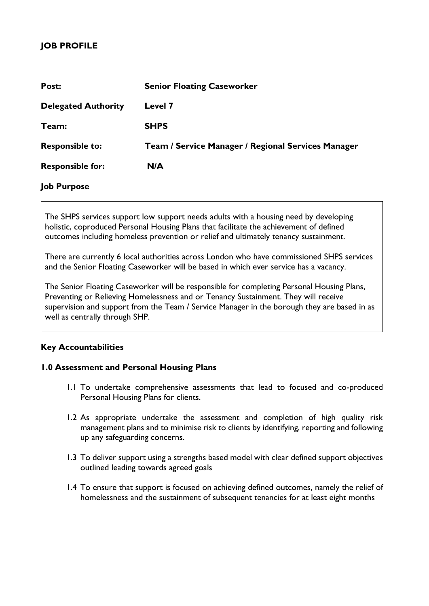# **JOB PROFILE**

| Post:                      | <b>Senior Floating Caseworker</b>                  |
|----------------------------|----------------------------------------------------|
| <b>Delegated Authority</b> | Level 7                                            |
| Team:                      | <b>SHPS</b>                                        |
| <b>Responsible to:</b>     | Team / Service Manager / Regional Services Manager |
| <b>Responsible for:</b>    | N/A                                                |
| <b>Job Purpose</b>         |                                                    |

The SHPS services support low support needs adults with a housing need by developing holistic, coproduced Personal Housing Plans that facilitate the achievement of defined outcomes including homeless prevention or relief and ultimately tenancy sustainment.

There are currently 6 local authorities across London who have commissioned SHPS services and the Senior Floating Caseworker will be based in which ever service has a vacancy.

The Senior Floating Caseworker will be responsible for completing Personal Housing Plans, Preventing or Relieving Homelessness and or Tenancy Sustainment. They will receive supervision and support from the Team / Service Manager in the borough they are based in as well as centrally through SHP.

# **Key Accountabilities**

## **1.0 Assessment and Personal Housing Plans**

- 1.1 To undertake comprehensive assessments that lead to focused and co-produced Personal Housing Plans for clients.
- 1.2 As appropriate undertake the assessment and completion of high quality risk management plans and to minimise risk to clients by identifying, reporting and following up any safeguarding concerns.
- 1.3 To deliver support using a strengths based model with clear defined support objectives outlined leading towards agreed goals
- 1.4 To ensure that support is focused on achieving defined outcomes, namely the relief of homelessness and the sustainment of subsequent tenancies for at least eight months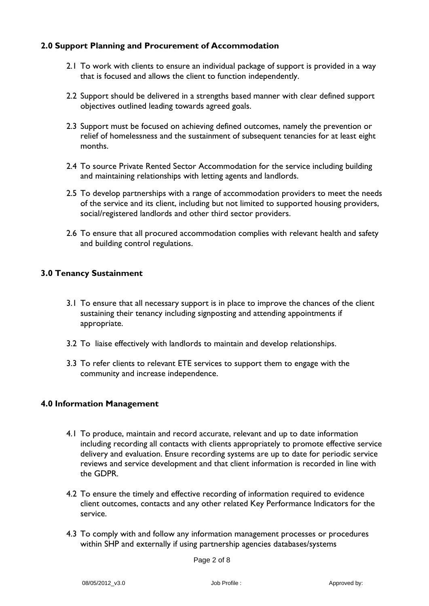# **2.0 Support Planning and Procurement of Accommodation**

- 2.1 To work with clients to ensure an individual package of support is provided in a way that is focused and allows the client to function independently.
- 2.2 Support should be delivered in a strengths based manner with clear defined support objectives outlined leading towards agreed goals.
- 2.3 Support must be focused on achieving defined outcomes, namely the prevention or relief of homelessness and the sustainment of subsequent tenancies for at least eight months.
- 2.4 To source Private Rented Sector Accommodation for the service including building and maintaining relationships with letting agents and landlords.
- 2.5 To develop partnerships with a range of accommodation providers to meet the needs of the service and its client, including but not limited to supported housing providers, social/registered landlords and other third sector providers.
- 2.6 To ensure that all procured accommodation complies with relevant health and safety and building control regulations.

# **3.0 Tenancy Sustainment**

- 3.1 To ensure that all necessary support is in place to improve the chances of the client sustaining their tenancy including signposting and attending appointments if appropriate.
- 3.2 To liaise effectively with landlords to maintain and develop relationships.
- 3.3 To refer clients to relevant ETE services to support them to engage with the community and increase independence.

#### **4.0 Information Management**

- 4.1 To produce, maintain and record accurate, relevant and up to date information including recording all contacts with clients appropriately to promote effective service delivery and evaluation. Ensure recording systems are up to date for periodic service reviews and service development and that client information is recorded in line with the GDPR.
- 4.2 To ensure the timely and effective recording of information required to evidence client outcomes, contacts and any other related Key Performance Indicators for the service.
- 4.3 To comply with and follow any information management processes or procedures within SHP and externally if using partnership agencies databases/systems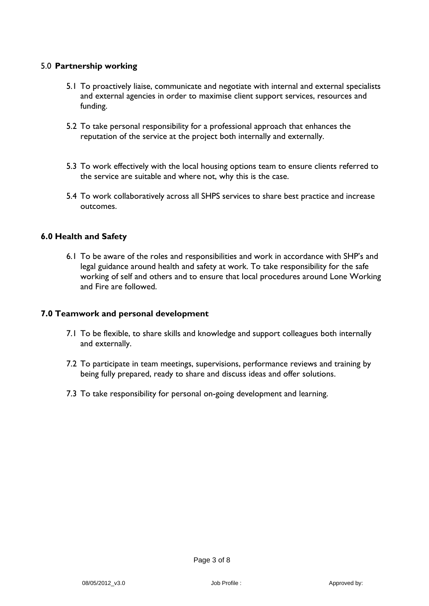### 5.0 **Partnership working**

- 5.1 To proactively liaise, communicate and negotiate with internal and external specialists and external agencies in order to maximise client support services, resources and funding.
- 5.2 To take personal responsibility for a professional approach that enhances the reputation of the service at the project both internally and externally.
- 5.3 To work effectively with the local housing options team to ensure clients referred to the service are suitable and where not, why this is the case.
- 5.4 To work collaboratively across all SHPS services to share best practice and increase outcomes.

#### **6.0 Health and Safety**

6.1 To be aware of the roles and responsibilities and work in accordance with SHP's and legal guidance around health and safety at work. To take responsibility for the safe working of self and others and to ensure that local procedures around Lone Working and Fire are followed.

#### **7.0 Teamwork and personal development**

- 7.1 To be flexible, to share skills and knowledge and support colleagues both internally and externally.
- 7.2 To participate in team meetings, supervisions, performance reviews and training by being fully prepared, ready to share and discuss ideas and offer solutions.
- 7.3 To take responsibility for personal on-going development and learning.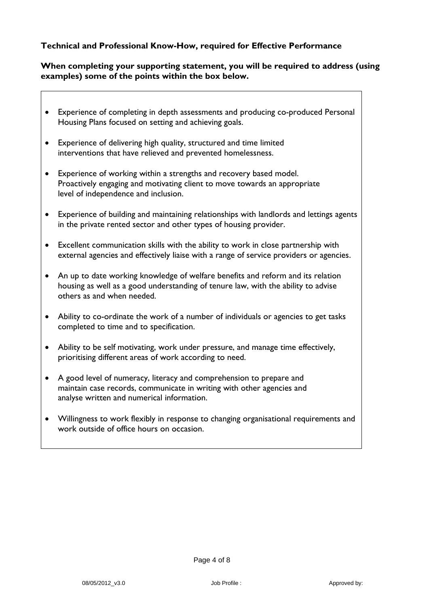## **Technical and Professional Know-How, required for Effective Performance**

#### **When completing your supporting statement, you will be required to address (using examples) some of the points within the box below.**

- Experience of completing in depth assessments and producing co-produced Personal Housing Plans focused on setting and achieving goals.
- Experience of delivering high quality, structured and time limited interventions that have relieved and prevented homelessness.
- Experience of working within a strengths and recovery based model. Proactively engaging and motivating client to move towards an appropriate level of independence and inclusion.
- Experience of building and maintaining relationships with landlords and lettings agents in the private rented sector and other types of housing provider.
- Excellent communication skills with the ability to work in close partnership with external agencies and effectively liaise with a range of service providers or agencies.
- An up to date working knowledge of welfare benefits and reform and its relation housing as well as a good understanding of tenure law, with the ability to advise others as and when needed.
- Ability to co-ordinate the work of a number of individuals or agencies to get tasks completed to time and to specification.
- Ability to be self motivating, work under pressure, and manage time effectively, prioritising different areas of work according to need.
- A good level of numeracy, literacy and comprehension to prepare and maintain case records, communicate in writing with other agencies and analyse written and numerical information.
- Willingness to work flexibly in response to changing organisational requirements and work outside of office hours on occasion.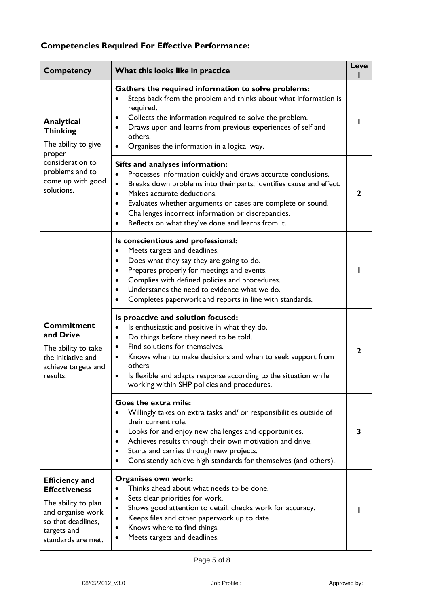# **Competencies Required For Effective Performance:**

| <b>Competency</b>                                                                                                                                    | What this looks like in practice                                                                                                                                                                                                                                                                                                                                                                                                    | <b>Leve</b>  |
|------------------------------------------------------------------------------------------------------------------------------------------------------|-------------------------------------------------------------------------------------------------------------------------------------------------------------------------------------------------------------------------------------------------------------------------------------------------------------------------------------------------------------------------------------------------------------------------------------|--------------|
| Analytical<br><b>Thinking</b><br>The ability to give<br>proper<br>consideration to<br>problems and to<br>come up with good<br>solutions.             | Gathers the required information to solve problems:<br>Steps back from the problem and thinks about what information is<br>$\bullet$<br>required.<br>Collects the information required to solve the problem.<br>$\bullet$<br>Draws upon and learns from previous experiences of self and<br>others.<br>Organises the information in a logical way.                                                                                  |              |
|                                                                                                                                                      | Sifts and analyses information:<br>Processes information quickly and draws accurate conclusions.<br>$\bullet$<br>Breaks down problems into their parts, identifies cause and effect.<br>$\bullet$<br>Makes accurate deductions.<br>$\bullet$<br>Evaluates whether arguments or cases are complete or sound.<br>Challenges incorrect information or discrepancies.<br>$\bullet$<br>Reflects on what they've done and learns from it. | $\mathbf{2}$ |
| <b>Commitment</b><br>and Drive<br>The ability to take<br>the initiative and<br>achieve targets and<br>results.                                       | Is conscientious and professional:<br>Meets targets and deadlines.<br>$\bullet$<br>Does what they say they are going to do.<br>$\bullet$<br>Prepares properly for meetings and events.<br>$\bullet$<br>Complies with defined policies and procedures.<br>$\bullet$<br>Understands the need to evidence what we do.<br>Completes paperwork and reports in line with standards.                                                       |              |
|                                                                                                                                                      | Is proactive and solution focused:<br>Is enthusiastic and positive in what they do.<br>$\bullet$<br>Do things before they need to be told.<br>$\bullet$<br>Find solutions for themselves.<br>$\bullet$<br>Knows when to make decisions and when to seek support from<br>$\bullet$<br>others<br>Is flexible and adapts response according to the situation while<br>working within SHP policies and procedures.                      | $\mathbf{2}$ |
|                                                                                                                                                      | Goes the extra mile:<br>Willingly takes on extra tasks and/ or responsibilities outside of<br>their current role.<br>Looks for and enjoy new challenges and opportunities.<br>٠<br>Achieves results through their own motivation and drive.<br>$\bullet$<br>Starts and carries through new projects.<br>$\bullet$<br>Consistently achieve high standards for themselves (and others).<br>$\bullet$                                  | 3            |
| <b>Efficiency and</b><br><b>Effectiveness</b><br>The ability to plan<br>and organise work<br>so that deadlines,<br>targets and<br>standards are met. | Organises own work:<br>Thinks ahead about what needs to be done.<br>Sets clear priorities for work.<br>$\bullet$<br>Shows good attention to detail; checks work for accuracy.<br>$\bullet$<br>Keeps files and other paperwork up to date.<br>$\bullet$<br>Knows where to find things.<br>Meets targets and deadlines.                                                                                                               |              |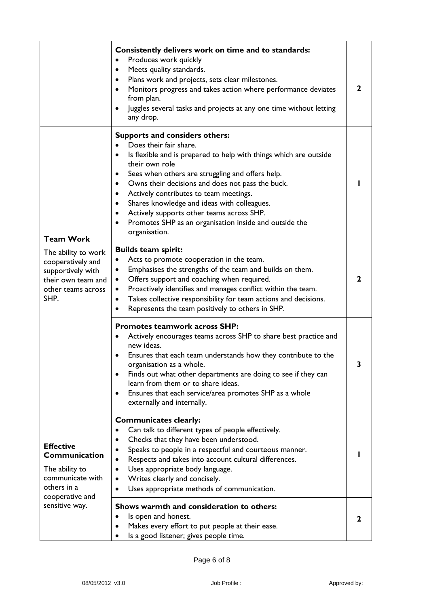|                                                                                                                                       | Consistently delivers work on time and to standards:<br>Produces work quickly<br>$\bullet$<br>Meets quality standards.<br>$\bullet$<br>Plans work and projects, sets clear milestones.<br>$\bullet$<br>Monitors progress and takes action where performance deviates<br>from plan.<br>Juggles several tasks and projects at any one time without letting<br>$\bullet$<br>any drop.                                                                                                                                       | $\mathbf{2}$ |
|---------------------------------------------------------------------------------------------------------------------------------------|--------------------------------------------------------------------------------------------------------------------------------------------------------------------------------------------------------------------------------------------------------------------------------------------------------------------------------------------------------------------------------------------------------------------------------------------------------------------------------------------------------------------------|--------------|
| <b>Team Work</b><br>The ability to work<br>cooperatively and<br>supportively with<br>their own team and<br>other teams across<br>SHP. | <b>Supports and considers others:</b><br>Does their fair share.<br>Is flexible and is prepared to help with things which are outside<br>their own role<br>Sees when others are struggling and offers help.<br>٠<br>Owns their decisions and does not pass the buck.<br>$\bullet$<br>Actively contributes to team meetings.<br>$\bullet$<br>Shares knowledge and ideas with colleagues.<br>٠<br>Actively supports other teams across SHP.<br>٠<br>Promotes SHP as an organisation inside and outside the<br>organisation. |              |
|                                                                                                                                       | <b>Builds team spirit:</b><br>Acts to promote cooperation in the team.<br>٠<br>Emphasises the strengths of the team and builds on them.<br>Offers support and coaching when required.<br>Proactively identifies and manages conflict within the team.<br>$\bullet$<br>Takes collective responsibility for team actions and decisions.<br>$\bullet$<br>Represents the team positively to others in SHP.                                                                                                                   | 2            |
|                                                                                                                                       | <b>Promotes teamwork across SHP:</b><br>Actively encourages teams across SHP to share best practice and<br>new ideas.<br>Ensures that each team understands how they contribute to the<br>$\bullet$<br>organisation as a whole.<br>Finds out what other departments are doing to see if they can<br>learn from them or to share ideas.<br>Ensures that each service/area promotes SHP as a whole<br>٠<br>externally and internally.                                                                                      |              |
| <b>Effective</b><br>Communication<br>The ability to<br>communicate with<br>others in a<br>cooperative and<br>sensitive way.           | <b>Communicates clearly:</b><br>Can talk to different types of people effectively.<br>Checks that they have been understood.<br>Speaks to people in a respectful and courteous manner.<br>Respects and takes into account cultural differences.<br>Uses appropriate body language.<br>Writes clearly and concisely.<br>Uses appropriate methods of communication.                                                                                                                                                        |              |
|                                                                                                                                       | Shows warmth and consideration to others:<br>Is open and honest.<br>Makes every effort to put people at their ease.<br>Is a good listener; gives people time.                                                                                                                                                                                                                                                                                                                                                            | 2            |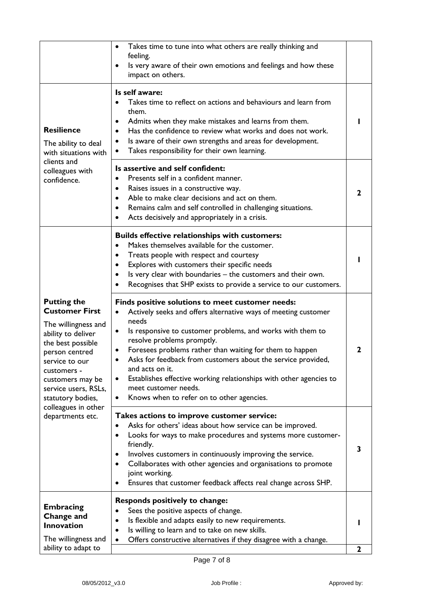|                                                                                                                                                                                                                                                                              | Takes time to tune into what others are really thinking and<br>$\bullet$<br>feeling.<br>Is very aware of their own emotions and feelings and how these<br>impact on others.                                                                                                                                                                                                                                                                                                                                                    |             |
|------------------------------------------------------------------------------------------------------------------------------------------------------------------------------------------------------------------------------------------------------------------------------|--------------------------------------------------------------------------------------------------------------------------------------------------------------------------------------------------------------------------------------------------------------------------------------------------------------------------------------------------------------------------------------------------------------------------------------------------------------------------------------------------------------------------------|-------------|
| <b>Resilience</b><br>The ability to deal<br>with situations with<br>clients and<br>colleagues with<br>confidence.                                                                                                                                                            | Is self aware:<br>Takes time to reflect on actions and behaviours and learn from<br>them.<br>Admits when they make mistakes and learns from them.<br>Has the confidence to review what works and does not work.<br>Is aware of their own strengths and areas for development.<br>Takes responsibility for their own learning.<br>٠                                                                                                                                                                                             |             |
|                                                                                                                                                                                                                                                                              | Is assertive and self confident:<br>Presents self in a confident manner.<br>Raises issues in a constructive way.<br>٠<br>Able to make clear decisions and act on them.<br>$\bullet$<br>Remains calm and self controlled in challenging situations.<br>Acts decisively and appropriately in a crisis.                                                                                                                                                                                                                           | 2           |
|                                                                                                                                                                                                                                                                              | <b>Builds effective relationships with customers:</b><br>Makes themselves available for the customer.<br>$\bullet$<br>Treats people with respect and courtesy<br>Explores with customers their specific needs<br>$\bullet$<br>Is very clear with boundaries - the customers and their own.<br>$\bullet$<br>Recognises that SHP exists to provide a service to our customers.                                                                                                                                                   |             |
| <b>Putting the</b><br><b>Customer First</b><br>The willingness and<br>ability to deliver<br>the best possible<br>person centred<br>service to our<br>customers -<br>customers may be<br>service users, RSLs,<br>statutory bodies,<br>colleagues in other<br>departments etc. | Finds positive solutions to meet customer needs:<br>Actively seeks and offers alternative ways of meeting customer<br>needs<br>Is responsive to customer problems, and works with them to<br>$\bullet$<br>resolve problems promptly.<br>Foresees problems rather than waiting for them to happen<br>Asks for feedback from customers about the service provided,<br>and acts on it.<br>Establishes effective working relationships with other agencies to<br>meet customer needs.<br>Knows when to refer on to other agencies. | 2           |
|                                                                                                                                                                                                                                                                              | Takes actions to improve customer service:<br>Asks for others' ideas about how service can be improved.<br>Looks for ways to make procedures and systems more customer-<br>٠<br>friendly.<br>Involves customers in continuously improving the service.<br>Collaborates with other agencies and organisations to promote<br>joint working.<br>Ensures that customer feedback affects real change across SHP.<br>٠                                                                                                               | 3           |
| <b>Embracing</b><br>Change and<br>Innovation<br>The willingness and<br>ability to adapt to                                                                                                                                                                                   | <b>Responds positively to change:</b><br>Sees the positive aspects of change.<br>Is flexible and adapts easily to new requirements.<br>Is willing to learn and to take on new skills.<br>Offers constructive alternatives if they disagree with a change.<br>$\bullet$                                                                                                                                                                                                                                                         | $\mathbf 2$ |